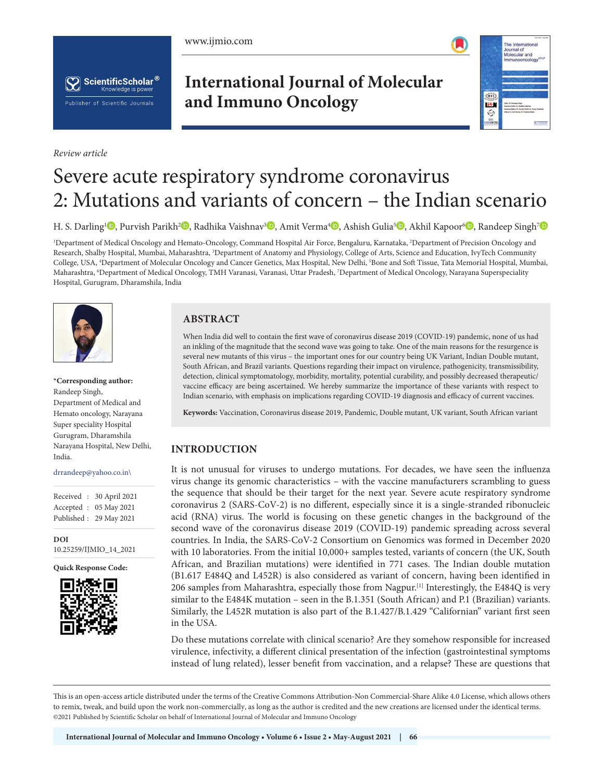





*Review article*

# **International Journal of Molecular and Immuno Oncology**



# Severe acute respiratory syndrome coronavirus 2: Mutations and variants of concern – the Indian scenario

H. S. Darling<sup>[1](https://orcid.org/0000-0001-7557-0292)</sup> , Purvish Parikh<sup>[2](https://orcid.org/0000-0003-3813-8788)</sup> , Radhika Vaishnav<sup>[3](https://orcid.org/0000-0002-5377-5059) ,</sup> Amit Verma<sup>4</sup> [,](https://orcid.org/0000-0001-6221-0896) Ashish Gulia<sup>[5](https://orcid.org/0000-0002-5133-7442)</sup> [,](https://orcid.org/0000-0001-6006-2631) Akhil Kapoor<sup>6</sup> , Randeep Singh<sup>[7](https://orcid.org/0000-0001-9923-7304)</sup>

<sup>1</sup>Department of Medical Oncology and Hemato-Oncology, Command Hospital Air Force, Bengaluru, Karnataka, <sup>2</sup>Department of Precision Oncology and Research, Shalby Hospital, Mumbai, Maharashtra, <sup>3</sup>Department of Anatomy and Physiology, College of Arts, Science and Education, IvyTech Community College, USA, <sup>4</sup>Department of Molecular Oncology and Cancer Genetics, Max Hospital, New Delhi, <sup>5</sup>Bone and Soft Tissue, Tata Memorial Hospital, Mumbai, Maharashtra, 'Department of Medical Oncology, TMH Varanasi, Varanasi, Uttar Pradesh, <sup>7</sup>Department of Medical Oncology, Narayana Superspeciality Hospital, Gurugram, Dharamshila, India



**\*Corresponding author:** Randeep Singh, Department of Medical and Hemato oncology, Narayana Super speciality Hospital Gurugram, Dharamshila Narayana Hospital, New Delhi, India.

#### drrandeep@yahoo.co.in\

Received : 30 April 2021 Accepted : 05 May 2021 Published : 29 May 2021

**DOI** [10.25259/IJMIO\\_14\\_2021](https://dx.doi.org/10.25259/IJMIO_14_2021)

**Quick Response Code:**



## **ABSTRACT**

When India did well to contain the first wave of coronavirus disease 2019 (COVID-19) pandemic, none of us had an inkling of the magnitude that the second wave was going to take. One of the main reasons for the resurgence is several new mutants of this virus – the important ones for our country being UK Variant, Indian Double mutant, South African, and Brazil variants. Questions regarding their impact on virulence, pathogenicity, transmissibility, detection, clinical symptomatology, morbidity, mortality, potential curability, and possibly decreased therapeutic/ vaccine efficacy are being ascertained. We hereby summarize the importance of these variants with respect to Indian scenario, with emphasis on implications regarding COVID-19 diagnosis and efficacy of current vaccines.

**Keywords:** Vaccination, Coronavirus disease 2019, Pandemic, Double mutant, UK variant, South African variant

#### **INTRODUCTION**

It is not unusual for viruses to undergo mutations. For decades, we have seen the influenza virus change its genomic characteristics – with the vaccine manufacturers scrambling to guess the sequence that should be their target for the next year. Severe acute respiratory syndrome coronavirus 2 (SARS-CoV-2) is no different, especially since it is a single-stranded ribonucleic acid (RNA) virus. The world is focusing on these genetic changes in the background of the second wave of the coronavirus disease 2019 (COVID-19) pandemic spreading across several countries. In India, the SARS-CoV-2 Consortium on Genomics was formed in December 2020 with 10 laboratories. From the initial 10,000+ samples tested, variants of concern (the UK, South African, and Brazilian mutations) were identified in 771 cases. The Indian double mutation (B1.617 E484Q and L452R) is also considered as variant of concern, having been identified in 206 samples from Maharashtra, especially those from Nagpur.[1] Interestingly, the E484Q is very similar to the E484K mutation – seen in the B.1.351 (South African) and P.1 (Brazilian) variants. Similarly, the L452R mutation is also part of the B.1.427/B.1.429 "Californian" variant first seen in the USA.

Do these mutations correlate with clinical scenario? Are they somehow responsible for increased virulence, infectivity, a different clinical presentation of the infection (gastrointestinal symptoms instead of lung related), lesser benefit from vaccination, and a relapse? These are questions that

This is an open-access article distributed under the terms of the Creative Commons Attribution-Non Commercial-Share Alike 4.0 License, which allows others to remix, tweak, and build upon the work non-commercially, as long as the author is credited and the new creations are licensed under the identical terms. ©2021 Published by Scientific Scholar on behalf of International Journal of Molecular and Immuno Oncology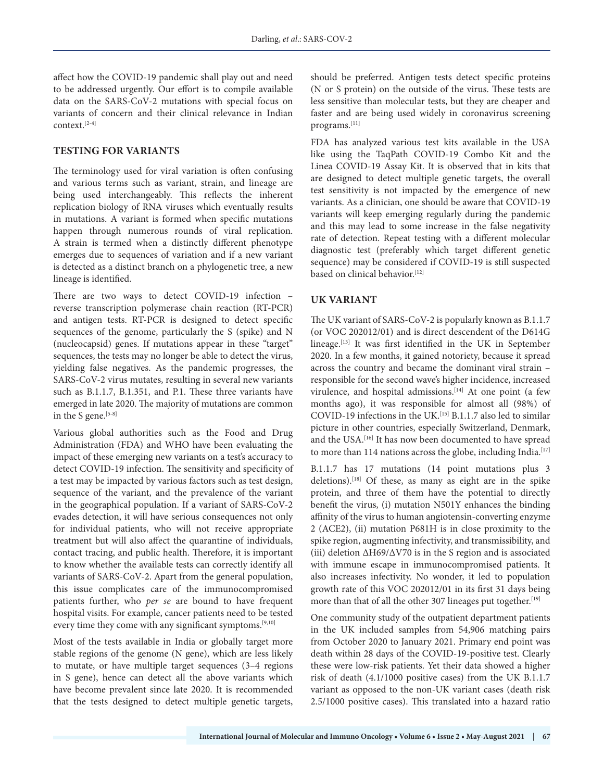affect how the COVID-19 pandemic shall play out and need to be addressed urgently. Our effort is to compile available data on the SARS-CoV-2 mutations with special focus on variants of concern and their clinical relevance in Indian context.[2-4]

#### **TESTING FOR VARIANTS**

The terminology used for viral variation is often confusing and various terms such as variant, strain, and lineage are being used interchangeably. This reflects the inherent replication biology of RNA viruses which eventually results in mutations. A variant is formed when specific mutations happen through numerous rounds of viral replication. A strain is termed when a distinctly different phenotype emerges due to sequences of variation and if a new variant is detected as a distinct branch on a phylogenetic tree, a new lineage is identified.

There are two ways to detect COVID-19 infection – reverse transcription polymerase chain reaction (RT-PCR) and antigen tests. RT-PCR is designed to detect specific sequences of the genome, particularly the S (spike) and N (nucleocapsid) genes. If mutations appear in these "target" sequences, the tests may no longer be able to detect the virus, yielding false negatives. As the pandemic progresses, the SARS-CoV-2 virus mutates, resulting in several new variants such as B.1.1.7, B.1.351, and P.1. These three variants have emerged in late 2020. The majority of mutations are common in the S gene.<sup>[5-8]</sup>

Various global authorities such as the Food and Drug Administration (FDA) and WHO have been evaluating the impact of these emerging new variants on a test's accuracy to detect COVID-19 infection. The sensitivity and specificity of a test may be impacted by various factors such as test design, sequence of the variant, and the prevalence of the variant in the geographical population. If a variant of SARS-CoV-2 evades detection, it will have serious consequences not only for individual patients, who will not receive appropriate treatment but will also affect the quarantine of individuals, contact tracing, and public health. Therefore, it is important to know whether the available tests can correctly identify all variants of SARS-CoV-2. Apart from the general population, this issue complicates care of the immunocompromised patients further, who *per se* are bound to have frequent hospital visits. For example, cancer patients need to be tested every time they come with any significant symptoms.<sup>[9,10]</sup>

Most of the tests available in India or globally target more stable regions of the genome (N gene), which are less likely to mutate, or have multiple target sequences (3–4 regions in S gene), hence can detect all the above variants which have become prevalent since late 2020. It is recommended that the tests designed to detect multiple genetic targets, should be preferred. Antigen tests detect specific proteins (N or S protein) on the outside of the virus. These tests are less sensitive than molecular tests, but they are cheaper and faster and are being used widely in coronavirus screening programs.[11]

FDA has analyzed various test kits available in the USA like using the TaqPath COVID-19 Combo Kit and the Linea COVID-19 Assay Kit. It is observed that in kits that are designed to detect multiple genetic targets, the overall test sensitivity is not impacted by the emergence of new variants. As a clinician, one should be aware that COVID-19 variants will keep emerging regularly during the pandemic and this may lead to some increase in the false negativity rate of detection. Repeat testing with a different molecular diagnostic test (preferably which target different genetic sequence) may be considered if COVID-19 is still suspected based on clinical behavior.[12]

#### **UK VARIANT**

The UK variant of SARS-CoV-2 is popularly known as B.1.1.7 (or VOC 202012/01) and is direct descendent of the D614G lineage.[13] It was first identified in the UK in September 2020. In a few months, it gained notoriety, because it spread across the country and became the dominant viral strain – responsible for the second wave's higher incidence, increased virulence, and hospital admissions.<sup>[14]</sup> At one point (a few months ago), it was responsible for almost all (98%) of COVID-19 infections in the UK.<sup>[15]</sup> B.1.1.7 also led to similar picture in other countries, especially Switzerland, Denmark, and the USA.<sup>[16]</sup> It has now been documented to have spread to more than 114 nations across the globe, including India.<sup>[17]</sup>

B.1.1.7 has 17 mutations (14 point mutations plus 3 deletions).[18] Of these, as many as eight are in the spike protein, and three of them have the potential to directly benefit the virus, (i) mutation N501Y enhances the binding affinity of the virus to human angiotensin-converting enzyme 2 (ACE2), (ii) mutation P681H is in close proximity to the spike region, augmenting infectivity, and transmissibility, and (iii) deletion ∆H69/∆V70 is in the S region and is associated with immune escape in immunocompromised patients. It also increases infectivity. No wonder, it led to population growth rate of this VOC 202012/01 in its first 31 days being more than that of all the other 307 lineages put together.<sup>[19]</sup>

One community study of the outpatient department patients in the UK included samples from 54,906 matching pairs from October 2020 to January 2021. Primary end point was death within 28 days of the COVID-19-positive test. Clearly these were low-risk patients. Yet their data showed a higher risk of death (4.1/1000 positive cases) from the UK B.1.1.7 variant as opposed to the non-UK variant cases (death risk 2.5/1000 positive cases). This translated into a hazard ratio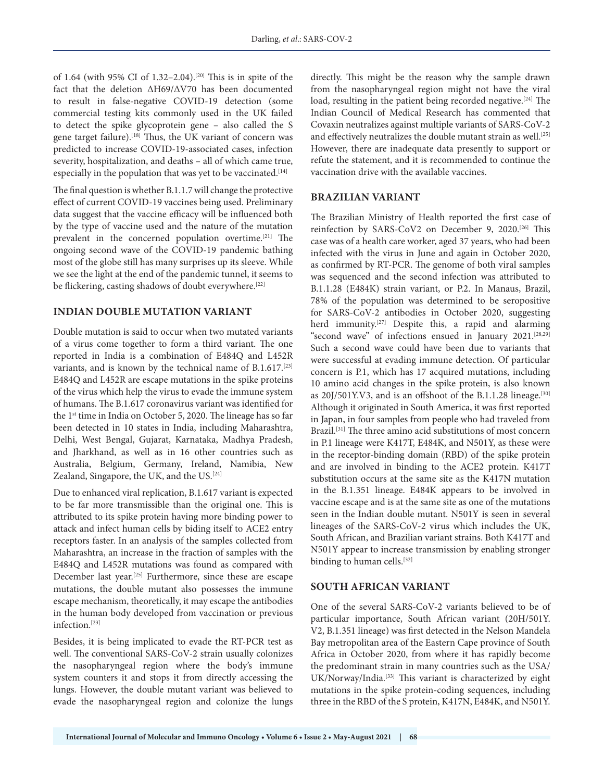of 1.64 (with 95% CI of 1.32–2.04).[20] This is in spite of the fact that the deletion ∆H69/∆V70 has been documented to result in false-negative COVID-19 detection (some commercial testing kits commonly used in the UK failed to detect the spike glycoprotein gene – also called the S gene target failure).<sup>[18]</sup> Thus, the UK variant of concern was predicted to increase COVID-19-associated cases, infection severity, hospitalization, and deaths – all of which came true, especially in the population that was yet to be vaccinated.<sup>[14]</sup>

The final question is whether B.1.1.7 will change the protective effect of current COVID-19 vaccines being used. Preliminary data suggest that the vaccine efficacy will be influenced both by the type of vaccine used and the nature of the mutation prevalent in the concerned population overtime.[21] The ongoing second wave of the COVID-19 pandemic bathing most of the globe still has many surprises up its sleeve. While we see the light at the end of the pandemic tunnel, it seems to be flickering, casting shadows of doubt everywhere.<sup>[22]</sup>

#### **INDIAN DOUBLE MUTATION VARIANT**

Double mutation is said to occur when two mutated variants of a virus come together to form a third variant. The one reported in India is a combination of E484Q and L452R variants, and is known by the technical name of B.1.617.[23] E484Q and L452R are escape mutations in the spike proteins of the virus which help the virus to evade the immune system of humans. The B.1.617 coronavirus variant was identified for the 1st time in India on October 5, 2020. The lineage has so far been detected in 10 states in India, including Maharashtra, Delhi, West Bengal, Gujarat, Karnataka, Madhya Pradesh, and Jharkhand, as well as in 16 other countries such as Australia, Belgium, Germany, Ireland, Namibia, New Zealand, Singapore, the UK, and the US.<sup>[24]</sup>

Due to enhanced viral replication, B.1.617 variant is expected to be far more transmissible than the original one. This is attributed to its spike protein having more binding power to attack and infect human cells by biding itself to ACE2 entry receptors faster. In an analysis of the samples collected from Maharashtra, an increase in the fraction of samples with the E484Q and L452R mutations was found as compared with December last year.[25] Furthermore, since these are escape mutations, the double mutant also possesses the immune escape mechanism, theoretically, it may escape the antibodies in the human body developed from vaccination or previous infection.[23]

Besides, it is being implicated to evade the RT-PCR test as well. The conventional SARS-CoV-2 strain usually colonizes the nasopharyngeal region where the body's immune system counters it and stops it from directly accessing the lungs. However, the double mutant variant was believed to evade the nasopharyngeal region and colonize the lungs

directly. This might be the reason why the sample drawn from the nasopharyngeal region might not have the viral load, resulting in the patient being recorded negative.<sup>[24]</sup> The Indian Council of Medical Research has commented that Covaxin neutralizes against multiple variants of SARS-CoV-2 and effectively neutralizes the double mutant strain as well.<sup>[25]</sup> However, there are inadequate data presently to support or refute the statement, and it is recommended to continue the vaccination drive with the available vaccines.

## **BRAZILIAN VARIANT**

The Brazilian Ministry of Health reported the first case of reinfection by SARS-CoV2 on December 9, 2020.[26] This case was of a health care worker, aged 37 years, who had been infected with the virus in June and again in October 2020, as confirmed by RT-PCR. The genome of both viral samples was sequenced and the second infection was attributed to B.1.1.28 (E484K) strain variant, or P.2. In Manaus, Brazil, 78% of the population was determined to be seropositive for SARS-CoV-2 antibodies in October 2020, suggesting herd immunity.[27] Despite this, a rapid and alarming "second wave" of infections ensued in January 2021.[28,29] Such a second wave could have been due to variants that were successful at evading immune detection. Of particular concern is P.1, which has 17 acquired mutations, including 10 amino acid changes in the spike protein, is also known as 20J/501Y.V3, and is an offshoot of the B.1.1.28 lineage.<sup>[30]</sup> Although it originated in South America, it was first reported in Japan, in four samples from people who had traveled from Brazil.[31] The three amino acid substitutions of most concern in P.1 lineage were K417T, E484K, and N501Y, as these were in the receptor-binding domain (RBD) of the spike protein and are involved in binding to the ACE2 protein. K417T substitution occurs at the same site as the K417N mutation in the B.1.351 lineage. E484K appears to be involved in vaccine escape and is at the same site as one of the mutations seen in the Indian double mutant. N501Y is seen in several lineages of the SARS-CoV-2 virus which includes the UK, South African, and Brazilian variant strains. Both K417T and N501Y appear to increase transmission by enabling stronger binding to human cells.<sup>[32]</sup>

#### **SOUTH AFRICAN VARIANT**

One of the several SARS-CoV-2 variants believed to be of particular importance, South African variant (20H/501Y. V2, B.1.351 lineage) was first detected in the Nelson Mandela Bay metropolitan area of the Eastern Cape province of South Africa in October 2020, from where it has rapidly become the predominant strain in many countries such as the USA/ UK/Norway/India.[33] This variant is characterized by eight mutations in the spike protein-coding sequences, including three in the RBD of the S protein, K417N, E484K, and N501Y.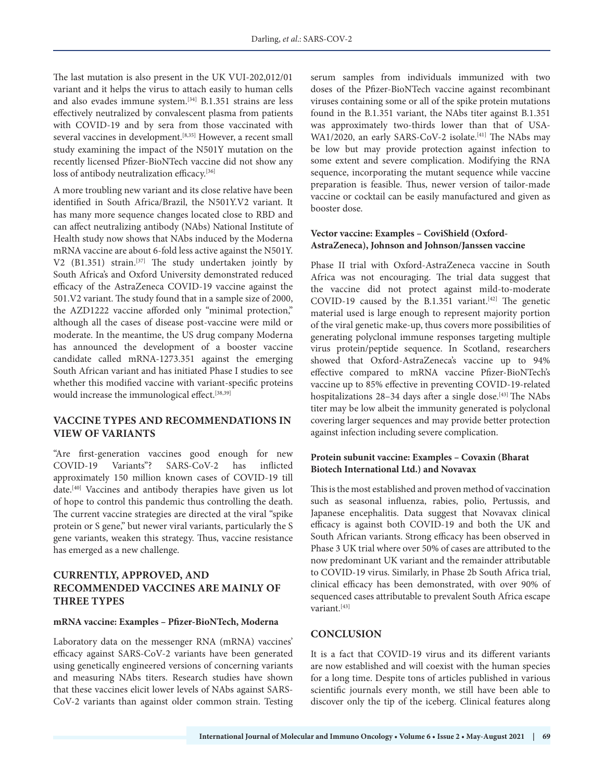The last mutation is also present in the UK VUI-202,012/01 variant and it helps the virus to attach easily to human cells and also evades immune system.[34] B.1.351 strains are less effectively neutralized by convalescent plasma from patients with COVID-19 and by sera from those vaccinated with several vaccines in development.<sup>[8,35]</sup> However, a recent small study examining the impact of the N501Y mutation on the recently licensed Pfizer-BioNTech vaccine did not show any loss of antibody neutralization efficacy.<sup>[36]</sup>

A more troubling new variant and its close relative have been identified in South Africa/Brazil, the N501Y.V2 variant. It has many more sequence changes located close to RBD and can affect neutralizing antibody (NAbs) National Institute of Health study now shows that NAbs induced by the Moderna mRNA vaccine are about 6-fold less active against the N501Y. V2 (B1.351) strain.[37] The study undertaken jointly by South Africa's and Oxford University demonstrated reduced efficacy of the AstraZeneca COVID-19 vaccine against the 501.V2 variant. The study found that in a sample size of 2000, the AZD1222 vaccine afforded only "minimal protection," although all the cases of disease post-vaccine were mild or moderate. In the meantime, the US drug company Moderna has announced the development of a booster vaccine candidate called mRNA-1273.351 against the emerging South African variant and has initiated Phase I studies to see whether this modified vaccine with variant-specific proteins would increase the immunological effect.<sup>[38,39]</sup>

## **VACCINE TYPES AND RECOMMENDATIONS IN VIEW OF VARIANTS**

"Are first-generation vaccines good enough for new COVID-19 Variants"? SARS-CoV-2 has inflicted approximately 150 million known cases of COVID-19 till date.[40] Vaccines and antibody therapies have given us lot of hope to control this pandemic thus controlling the death. The current vaccine strategies are directed at the viral "spike protein or S gene," but newer viral variants, particularly the S gene variants, weaken this strategy. Thus, vaccine resistance has emerged as a new challenge.

## **CURRENTLY, APPROVED, AND RECOMMENDED VACCINES ARE MAINLY OF THREE TYPES**

#### **mRNA vaccine: Examples – Pfizer-BioNTech, Moderna**

Laboratory data on the messenger RNA (mRNA) vaccines' efficacy against SARS-CoV-2 variants have been generated using genetically engineered versions of concerning variants and measuring NAbs titers. Research studies have shown that these vaccines elicit lower levels of NAbs against SARS-CoV-2 variants than against older common strain. Testing serum samples from individuals immunized with two doses of the Pfizer-BioNTech vaccine against recombinant viruses containing some or all of the spike protein mutations found in the B.1.351 variant, the NAbs titer against B.1.351 was approximately two-thirds lower than that of USA-WA1/2020, an early SARS-CoV-2 isolate.<sup>[41]</sup> The NAbs may be low but may provide protection against infection to some extent and severe complication. Modifying the RNA sequence, incorporating the mutant sequence while vaccine preparation is feasible. Thus, newer version of tailor-made vaccine or cocktail can be easily manufactured and given as booster dose.

#### **Vector vaccine: Examples – CoviShield (Oxford-AstraZeneca), Johnson and Johnson/Janssen vaccine**

Phase II trial with Oxford-AstraZeneca vaccine in South Africa was not encouraging. The trial data suggest that the vaccine did not protect against mild-to-moderate COVID-19 caused by the B.1.351 variant.<sup>[42]</sup> The genetic material used is large enough to represent majority portion of the viral genetic make-up, thus covers more possibilities of generating polyclonal immune responses targeting multiple virus protein/peptide sequence. In Scotland, researchers showed that Oxford-AstraZeneca's vaccine up to 94% effective compared to mRNA vaccine Pfizer-BioNTech's vaccine up to 85% effective in preventing COVID-19-related hospitalizations 28-34 days after a single dose.<sup>[43]</sup> The NAbs titer may be low albeit the immunity generated is polyclonal covering larger sequences and may provide better protection against infection including severe complication.

#### **Protein subunit vaccine: Examples – Covaxin (Bharat Biotech International Ltd.) and Novavax**

This is the most established and proven method of vaccination such as seasonal influenza, rabies, polio, Pertussis, and Japanese encephalitis. Data suggest that Novavax clinical efficacy is against both COVID-19 and both the UK and South African variants. Strong efficacy has been observed in Phase 3 UK trial where over 50% of cases are attributed to the now predominant UK variant and the remainder attributable to COVID-19 virus. Similarly, in Phase 2b South Africa trial, clinical efficacy has been demonstrated, with over 90% of sequenced cases attributable to prevalent South Africa escape variant.<sup>[43]</sup>

#### **CONCLUSION**

It is a fact that COVID-19 virus and its different variants are now established and will coexist with the human species for a long time. Despite tons of articles published in various scientific journals every month, we still have been able to discover only the tip of the iceberg. Clinical features along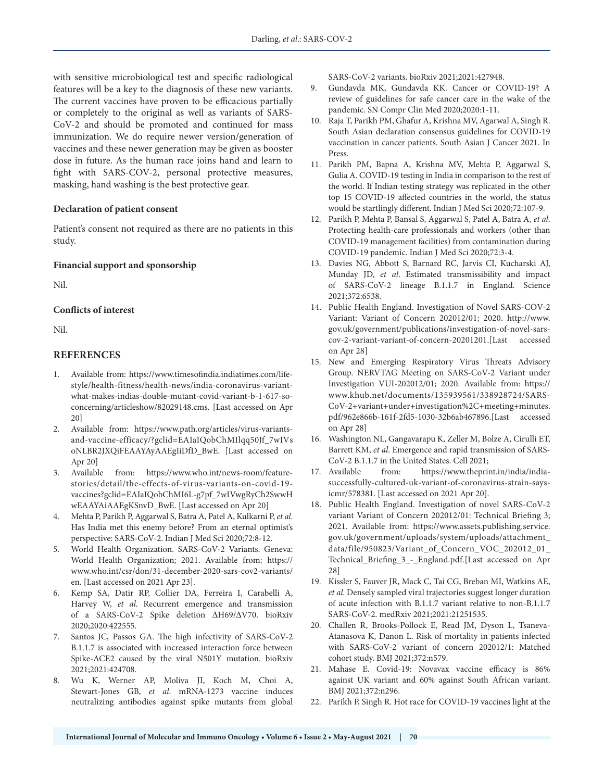with sensitive microbiological test and specific radiological features will be a key to the diagnosis of these new variants. The current vaccines have proven to be efficacious partially or completely to the original as well as variants of SARS-CoV-2 and should be promoted and continued for mass immunization. We do require newer version/generation of vaccines and these newer generation may be given as booster dose in future. As the human race joins hand and learn to fight with SARS-COV-2, personal protective measures, masking, hand washing is the best protective gear.

#### **Declaration of patient consent**

Patient's consent not required as there are no patients in this study.

#### **Financial support and sponsorship**

Nil.

#### **Conflicts of interest**

Nil.

## **REFERENCES**

- 1. Available from: https://www.timesofindia.indiatimes.com/lifestyle/health-fitness/health-news/india-coronavirus-variantwhat-makes-indias-double-mutant-covid-variant-b-1-617-soconcerning/articleshow/82029148.cms. [Last accessed on Apr 20]
- 2. Available from: https://www.path.org/articles/virus-variantsand-vaccine-efficacy/?gclid=EAIaIQobChMIlqq50Jf\_7wIVs oNLBR2JXQiFEAAYAyAAEgIiDfD\_BwE. [Last accessed on Apr 20]
- 3. Available from: https://www.who.int/news-room/featurestories/detail/the-effects-of-virus-variants-on-covid-19 vaccines?gclid=EAIaIQobChMI6L-g7pf\_7wIVwgRyCh2SwwH wEAAYAiAAEgKSnvD\_BwE. [Last accessed on Apr 20]
- 4. Mehta P, Parikh P, Aggarwal S, Batra A, Patel A, Kulkarni P, *et al*. Has India met this enemy before? From an eternal optimist's perspective: SARS-CoV-2. Indian J Med Sci 2020;72:8-12.
- 5. World Health Organization. SARS-CoV-2 Variants. Geneva: World Health Organization; 2021. Available from: https:// www.who.int/csr/don/31-december-2020-sars-cov2-variants/ en. [Last accessed on 2021 Apr 23].
- 6. Kemp SA, Datir RP, Collier DA, Ferreira I, Carabelli A, Harvey W, *et al*. Recurrent emergence and transmission of a SARS-CoV-2 Spike deletion ΔH69/ΔV70. bioRxiv 2020;2020:422555.
- 7. Santos JC, Passos GA. The high infectivity of SARS-CoV-2 B.1.1.7 is associated with increased interaction force between Spike-ACE2 caused by the viral N501Y mutation. bioRxiv 2021;2021:424708.
- 8. Wu K, Werner AP, Moliva JI, Koch M, Choi A, Stewart-Jones GB, *et al*. mRNA-1273 vaccine induces neutralizing antibodies against spike mutants from global

SARS-CoV-2 variants. bioRxiv 2021;2021:427948.

- 9. Gundavda MK, Gundavda KK. Cancer or COVID-19? A review of guidelines for safe cancer care in the wake of the pandemic. SN Compr Clin Med 2020;2020:1-11.
- 10. Raja T, Parikh PM, Ghafur A, Krishna MV, Agarwal A, Singh R. South Asian declaration consensus guidelines for COVID-19 vaccination in cancer patients. South Asian J Cancer 2021. In Press.
- 11. Parikh PM, Bapna A, Krishna MV, Mehta P, Aggarwal S, Gulia A. COVID-19 testing in India in comparison to the rest of the world. If Indian testing strategy was replicated in the other top 15 COVID-19 affected countries in the world, the status would be startlingly different. Indian J Med Sci 2020;72:107-9.
- 12. Parikh P, Mehta P, Bansal S, Aggarwal S, Patel A, Batra A, *et al*. Protecting health-care professionals and workers (other than COVID-19 management facilities) from contamination during COVID-19 pandemic. Indian J Med Sci 2020;72:3-4.
- 13. Davies NG, Abbott S, Barnard RC, Jarvis CI, Kucharski AJ, Munday JD, *et al*. Estimated transmissibility and impact of SARS-CoV-2 lineage B.1.1.7 in England. Science 2021;372:6538.
- 14. Public Health England. Investigation of Novel SARS-COV-2 Variant: Variant of Concern 202012/01; 2020. http://www. gov.uk/government/publications/investigation-of-novel-sarscov-2-variant-variant-of-concern-20201201.[Last accessed on Apr 28]
- 15. New and Emerging Respiratory Virus Threats Advisory Group. NERVTAG Meeting on SARS-CoV-2 Variant under Investigation VUI-202012/01; 2020. Available from: https:// www.khub.net/documents/135939561/338928724/SARS-CoV-2+variant+under+investigation%2C+meeting+minutes. pdf/962e866b-161f-2fd5-1030-32b6ab467896.[Last accessed on Apr 28]
- 16. Washington NL, Gangavarapu K, Zeller M, Bolze A, Cirulli ET, Barrett KM, *et al*. Emergence and rapid transmission of SARS-CoV-2 B.1.1.7 in the United States. Cell 2021;
- 17. Available from: https://www.theprint.in/india/indiasuccessfully-cultured-uk-variant-of-coronavirus-strain-saysicmr/578381. [Last accessed on 2021 Apr 20].
- 18. Public Health England. Investigation of novel SARS-CoV-2 variant Variant of Concern 202012/01: Technical Briefing 3; 2021. Available from: https://www.assets.publishing.service. gov.uk/government/uploads/system/uploads/attachment\_ data/file/950823/Variant\_of\_Concern\_VOC\_202012\_01\_ Technical\_Briefing\_3\_-\_England.pdf.[Last accessed on Apr 28]
- 19. Kissler S, Fauver JR, Mack C, Tai CG, Breban MI, Watkins AE, *et al*. Densely sampled viral trajectories suggest longer duration of acute infection with B.1.1.7 variant relative to non-B.1.1.7 SARS-CoV-2. medRxiv 2021;2021:21251535.
- 20. Challen R, Brooks-Pollock E, Read JM, Dyson L, Tsaneva-Atanasova K, Danon L. Risk of mortality in patients infected with SARS-CoV-2 variant of concern 202012/1: Matched cohort study. BMJ 2021;372:n579.
- 21. Mahase E. Covid-19: Novavax vaccine efficacy is 86% against UK variant and 60% against South African variant. BMJ 2021;372:n296.
- 22. Parikh P, Singh R. Hot race for COVID-19 vaccines light at the